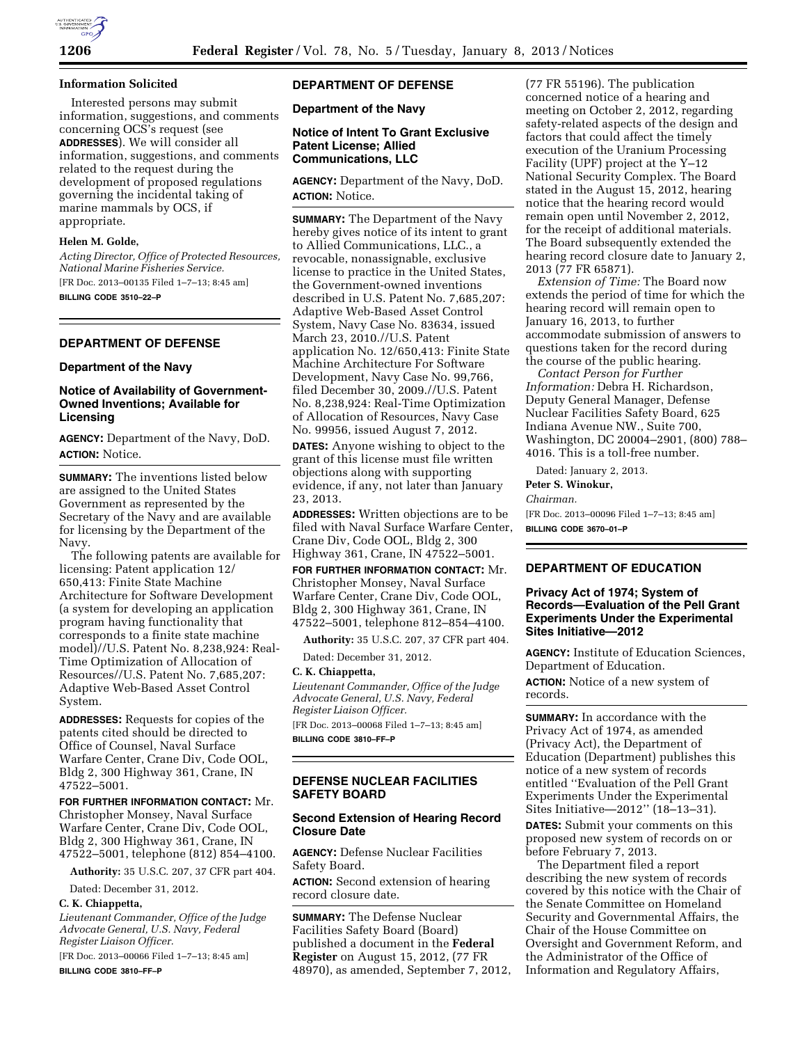## **Information Solicited**

Interested persons may submit information, suggestions, and comments concerning OCS's request (see **ADDRESSES**). We will consider all information, suggestions, and comments related to the request during the development of proposed regulations governing the incidental taking of marine mammals by OCS, if appropriate.

# **Helen M. Golde,**

*Acting Director, Office of Protected Resources, National Marine Fisheries Service.*  [FR Doc. 2013–00135 Filed 1–7–13; 8:45 am]

**BILLING CODE 3510–22–P** 

# **DEPARTMENT OF DEFENSE**

# **Department of the Navy**

# **Notice of Availability of Government-Owned Inventions; Available for Licensing**

**AGENCY:** Department of the Navy, DoD. **ACTION:** Notice.

**SUMMARY:** The inventions listed below are assigned to the United States Government as represented by the Secretary of the Navy and are available for licensing by the Department of the Navy.

The following patents are available for licensing: Patent application 12/ 650,413: Finite State Machine Architecture for Software Development (a system for developing an application program having functionality that corresponds to a finite state machine model)//U.S. Patent No. 8,238,924: Real-Time Optimization of Allocation of Resources//U.S. Patent No. 7,685,207: Adaptive Web-Based Asset Control System.

**ADDRESSES:** Requests for copies of the patents cited should be directed to Office of Counsel, Naval Surface Warfare Center, Crane Div, Code OOL, Bldg 2, 300 Highway 361, Crane, IN 47522–5001.

**FOR FURTHER INFORMATION CONTACT:** Mr. Christopher Monsey, Naval Surface Warfare Center, Crane Div, Code OOL, Bldg 2, 300 Highway 361, Crane, IN 47522–5001, telephone (812) 854–4100.

**Authority:** 35 U.S.C. 207, 37 CFR part 404.

Dated: December 31, 2012.

# **C. K. Chiappetta,**

*Lieutenant Commander, Office of the Judge Advocate General, U.S. Navy, Federal Register Liaison Officer.* 

[FR Doc. 2013–00066 Filed 1–7–13; 8:45 am] **BILLING CODE 3810–FF–P** 

# **DEPARTMENT OF DEFENSE**

**Department of the Navy** 

# **Notice of Intent To Grant Exclusive Patent License; Allied Communications, LLC**

**AGENCY:** Department of the Navy, DoD. **ACTION:** Notice.

**SUMMARY:** The Department of the Navy hereby gives notice of its intent to grant to Allied Communications, LLC., a revocable, nonassignable, exclusive license to practice in the United States, the Government-owned inventions described in U.S. Patent No. 7,685,207: Adaptive Web-Based Asset Control System, Navy Case No. 83634, issued March 23, 2010.//U.S. Patent application No. 12/650,413: Finite State Machine Architecture For Software Development, Navy Case No. 99,766, filed December 30, 2009.//U.S. Patent No. 8,238,924: Real-Time Optimization of Allocation of Resources, Navy Case No. 99956, issued August 7, 2012.

**DATES:** Anyone wishing to object to the grant of this license must file written objections along with supporting evidence, if any, not later than January 23, 2013.

**ADDRESSES:** Written objections are to be filed with Naval Surface Warfare Center, Crane Div, Code OOL, Bldg 2, 300 Highway 361, Crane, IN 47522–5001.

# **FOR FURTHER INFORMATION CONTACT:** Mr. Christopher Monsey, Naval Surface Warfare Center, Crane Div, Code OOL, Bldg 2, 300 Highway 361, Crane, IN 47522–5001, telephone 812–854–4100.

**Authority:** 35 U.S.C. 207, 37 CFR part 404.

Dated: December 31, 2012.

## **C. K. Chiappetta,**

*Lieutenant Commander, Office of the Judge Advocate General, U.S. Navy, Federal Register Liaison Officer.* 

[FR Doc. 2013–00068 Filed 1–7–13; 8:45 am] **BILLING CODE 3810–FF–P** 

# **DEFENSE NUCLEAR FACILITIES SAFETY BOARD**

# **Second Extension of Hearing Record Closure Date**

**AGENCY:** Defense Nuclear Facilities Safety Board.

**ACTION:** Second extension of hearing record closure date.

**SUMMARY:** The Defense Nuclear Facilities Safety Board (Board) published a document in the **Federal Register** on August 15, 2012, (77 FR 48970), as amended, September 7, 2012,

(77 FR 55196). The publication concerned notice of a hearing and meeting on October 2, 2012, regarding safety-related aspects of the design and factors that could affect the timely execution of the Uranium Processing Facility (UPF) project at the Y–12 National Security Complex. The Board stated in the August 15, 2012, hearing notice that the hearing record would remain open until November 2, 2012, for the receipt of additional materials. The Board subsequently extended the hearing record closure date to January 2, 2013 (77 FR 65871).

*Extension of Time:* The Board now extends the period of time for which the hearing record will remain open to January 16, 2013, to further accommodate submission of answers to questions taken for the record during the course of the public hearing.

*Contact Person for Further Information:* Debra H. Richardson, Deputy General Manager, Defense Nuclear Facilities Safety Board, 625 Indiana Avenue NW., Suite 700, Washington, DC 20004–2901, (800) 788– 4016. This is a toll-free number.

Dated: January 2, 2013.

**Peter S. Winokur,** 

# *Chairman.*

[FR Doc. 2013–00096 Filed 1–7–13; 8:45 am] **BILLING CODE 3670–01–P** 

# **DEPARTMENT OF EDUCATION**

# **Privacy Act of 1974; System of Records—Evaluation of the Pell Grant Experiments Under the Experimental Sites Initiative—2012**

**AGENCY:** Institute of Education Sciences, Department of Education.

**ACTION:** Notice of a new system of records.

**SUMMARY:** In accordance with the Privacy Act of 1974, as amended (Privacy Act), the Department of Education (Department) publishes this notice of a new system of records entitled ''Evaluation of the Pell Grant Experiments Under the Experimental Sites Initiative—2012'' (18–13–31).

**DATES:** Submit your comments on this proposed new system of records on or before February 7, 2013.

The Department filed a report describing the new system of records covered by this notice with the Chair of the Senate Committee on Homeland Security and Governmental Affairs, the Chair of the House Committee on Oversight and Government Reform, and the Administrator of the Office of Information and Regulatory Affairs,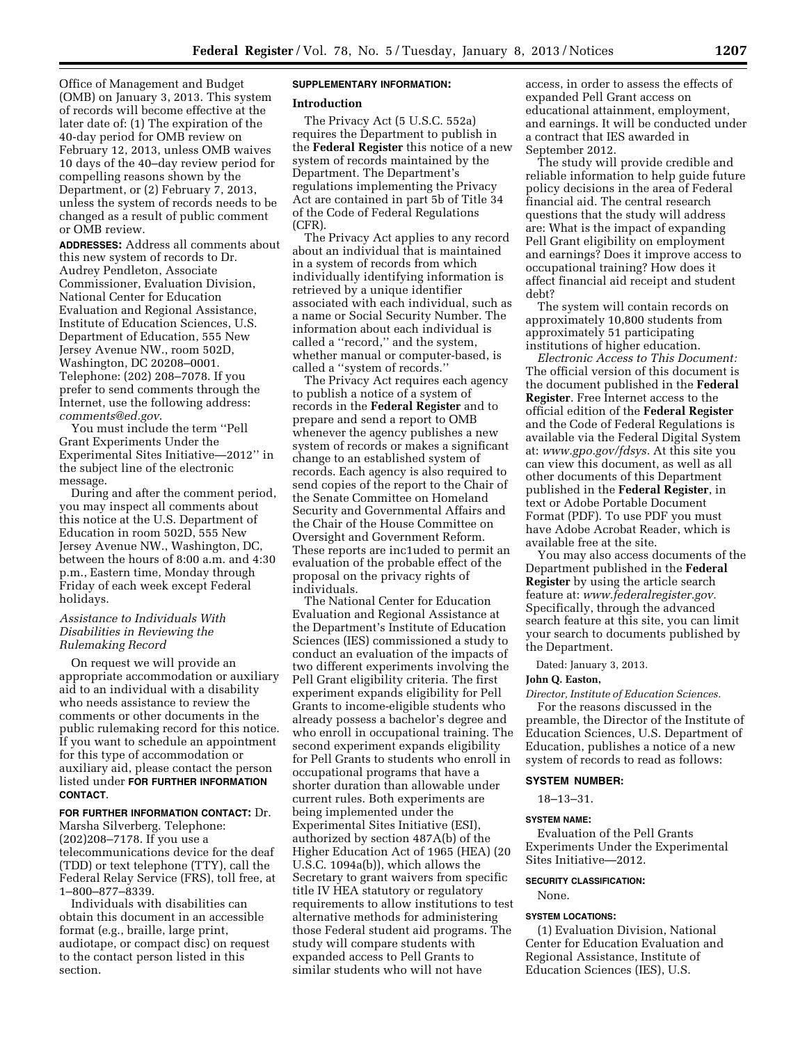Office of Management and Budget (OMB) on January 3, 2013. This system of records will become effective at the later date of: (1) The expiration of the 40-day period for OMB review on February 12, 2013, unless OMB waives 10 days of the 40–day review period for compelling reasons shown by the Department, or (2) February 7, 2013, unless the system of records needs to be changed as a result of public comment or OMB review.

**ADDRESSES:** Address all comments about this new system of records to Dr. Audrey Pendleton, Associate Commissioner, Evaluation Division, National Center for Education Evaluation and Regional Assistance, Institute of Education Sciences, U.S. Department of Education, 555 New Jersey Avenue NW., room 502D, Washington, DC 20208–0001. Telephone: (202) 208–7078. If you prefer to send comments through the Internet, use the following address: *[comments@ed.gov](mailto:comments@ed.gov)*.

You must include the term ''Pell Grant Experiments Under the Experimental Sites Initiative—2012'' in the subject line of the electronic message.

During and after the comment period, you may inspect all comments about this notice at the U.S. Department of Education in room 502D, 555 New Jersey Avenue NW., Washington, DC, between the hours of 8:00 a.m. and 4:30 p.m., Eastern time, Monday through Friday of each week except Federal holidays.

# *Assistance to Individuals With Disabilities in Reviewing the Rulemaking Record*

On request we will provide an appropriate accommodation or auxiliary aid to an individual with a disability who needs assistance to review the comments or other documents in the public rulemaking record for this notice. If you want to schedule an appointment for this type of accommodation or auxiliary aid, please contact the person listed under **FOR FURTHER INFORMATION CONTACT**.

# **FOR FURTHER INFORMATION CONTACT:** Dr.

Marsha Silverberg. Telephone: (202)208–7178. If you use a telecommunications device for the deaf (TDD) or text telephone (TTY), call the Federal Relay Service (FRS), toll free, at 1–800–877–8339.

Individuals with disabilities can obtain this document in an accessible format (e.g., braille, large print, audiotape, or compact disc) on request to the contact person listed in this section.

## **SUPPLEMENTARY INFORMATION:**

## **Introduction**

The Privacy Act (5 U.S.C. 552a) requires the Department to publish in the **Federal Register** this notice of a new system of records maintained by the Department. The Department's regulations implementing the Privacy Act are contained in part 5b of Title 34 of the Code of Federal Regulations (CFR).

The Privacy Act applies to any record about an individual that is maintained in a system of records from which individually identifying information is retrieved by a unique identifier associated with each individual, such as a name or Social Security Number. The information about each individual is called a ''record,'' and the system, whether manual or computer-based, is called a ''system of records.''

The Privacy Act requires each agency to publish a notice of a system of records in the **Federal Register** and to prepare and send a report to OMB whenever the agency publishes a new system of records or makes a significant change to an established system of records. Each agency is also required to send copies of the report to the Chair of the Senate Committee on Homeland Security and Governmental Affairs and the Chair of the House Committee on Oversight and Government Reform. These reports are inc1uded to permit an evaluation of the probable effect of the proposal on the privacy rights of individuals.

The National Center for Education Evaluation and Regional Assistance at the Department's Institute of Education Sciences (IES) commissioned a study to conduct an evaluation of the impacts of two different experiments involving the Pell Grant eligibility criteria. The first experiment expands eligibility for Pell Grants to income-eligible students who already possess a bachelor's degree and who enroll in occupational training. The second experiment expands eligibility for Pell Grants to students who enroll in occupational programs that have a shorter duration than allowable under current rules. Both experiments are being implemented under the Experimental Sites Initiative (ESI), authorized by section 487A(b) of the Higher Education Act of 1965 (HEA) (20 U.S.C. 1094a(b)), which allows the Secretary to grant waivers from specific title IV HEA statutory or regulatory requirements to allow institutions to test alternative methods for administering those Federal student aid programs. The study will compare students with expanded access to Pell Grants to similar students who will not have

access, in order to assess the effects of expanded Pell Grant access on educational attainment, employment, and earnings. It will be conducted under a contract that IES awarded in September 2012.

The study will provide credible and reliable information to help guide future policy decisions in the area of Federal financial aid. The central research questions that the study will address are: What is the impact of expanding Pell Grant eligibility on employment and earnings? Does it improve access to occupational training? How does it affect financial aid receipt and student debt?

The system will contain records on approximately 10,800 students from approximately 51 participating institutions of higher education.

*Electronic Access to This Document:*  The official version of this document is the document published in the **Federal Register**. Free Internet access to the official edition of the **Federal Register**  and the Code of Federal Regulations is available via the Federal Digital System at: *[www.gpo.gov/fdsys.](http://www.gpo.gov/fdsys)* At this site you can view this document, as well as all other documents of this Department published in the **Federal Register**, in text or Adobe Portable Document Format (PDF). To use PDF you must have Adobe Acrobat Reader, which is available free at the site.

You may also access documents of the Department published in the **Federal Register** by using the article search feature at: *[www.federalregister.gov.](http://www.federalregister.gov)*  Specifically, through the advanced search feature at this site, you can limit your search to documents published by the Department.

Dated: January 3, 2013.

# **John Q. Easton,**

*Director, Institute of Education Sciences.*  For the reasons discussed in the preamble, the Director of the Institute of Education Sciences, U.S. Department of Education, publishes a notice of a new system of records to read as follows:

## **SYSTEM NUMBER:**

18–13–31.

#### **SYSTEM NAME:**

Evaluation of the Pell Grants Experiments Under the Experimental Sites Initiative—2012.

#### **SECURITY CLASSIFICATION:**

None.

#### **SYSTEM LOCATIONS:**

(1) Evaluation Division, National Center for Education Evaluation and Regional Assistance, Institute of Education Sciences (IES), U.S.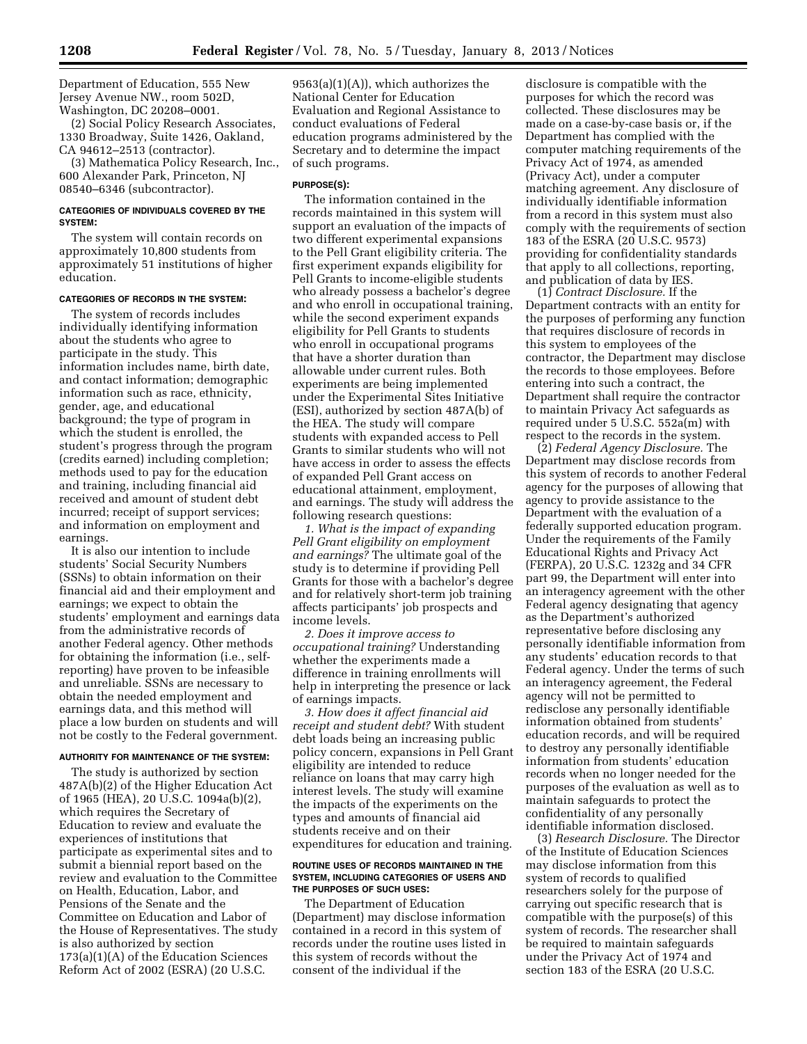Department of Education, 555 New Jersey Avenue NW., room 502D, Washington, DC 20208–0001.

(2) Social Policy Research Associates, 1330 Broadway, Suite 1426, Oakland, CA 94612–2513 (contractor).

(3) Mathematica Policy Research, Inc., 600 Alexander Park, Princeton, NJ 08540–6346 (subcontractor).

## **CATEGORIES OF INDIVIDUALS COVERED BY THE SYSTEM:**

The system will contain records on approximately 10,800 students from approximately 51 institutions of higher education.

## **CATEGORIES OF RECORDS IN THE SYSTEM:**

The system of records includes individually identifying information about the students who agree to participate in the study. This information includes name, birth date, and contact information; demographic information such as race, ethnicity, gender, age, and educational background; the type of program in which the student is enrolled, the student's progress through the program (credits earned) including completion; methods used to pay for the education and training, including financial aid received and amount of student debt incurred; receipt of support services; and information on employment and earnings.

It is also our intention to include students' Social Security Numbers (SSNs) to obtain information on their financial aid and their employment and earnings; we expect to obtain the students' employment and earnings data from the administrative records of another Federal agency. Other methods for obtaining the information (i.e., selfreporting) have proven to be infeasible and unreliable. SSNs are necessary to obtain the needed employment and earnings data, and this method will place a low burden on students and will not be costly to the Federal government.

#### **AUTHORITY FOR MAINTENANCE OF THE SYSTEM:**

The study is authorized by section 487A(b)(2) of the Higher Education Act of 1965 (HEA), 20 U.S.C. 1094a(b)(2), which requires the Secretary of Education to review and evaluate the experiences of institutions that participate as experimental sites and to submit a biennial report based on the review and evaluation to the Committee on Health, Education, Labor, and Pensions of the Senate and the Committee on Education and Labor of the House of Representatives. The study is also authorized by section 173(a)(1)(A) of the Education Sciences Reform Act of 2002 (ESRA) (20 U.S.C.

9563(a)(1)(A)), which authorizes the National Center for Education Evaluation and Regional Assistance to conduct evaluations of Federal education programs administered by the Secretary and to determine the impact of such programs.

# **PURPOSE(S):**

The information contained in the records maintained in this system will support an evaluation of the impacts of two different experimental expansions to the Pell Grant eligibility criteria. The first experiment expands eligibility for Pell Grants to income-eligible students who already possess a bachelor's degree and who enroll in occupational training, while the second experiment expands eligibility for Pell Grants to students who enroll in occupational programs that have a shorter duration than allowable under current rules. Both experiments are being implemented under the Experimental Sites Initiative (ESI), authorized by section 487A(b) of the HEA. The study will compare students with expanded access to Pell Grants to similar students who will not have access in order to assess the effects of expanded Pell Grant access on educational attainment, employment, and earnings. The study will address the following research questions:

*1. What is the impact of expanding Pell Grant eligibility on employment and earnings?* The ultimate goal of the study is to determine if providing Pell Grants for those with a bachelor's degree and for relatively short-term job training affects participants' job prospects and income levels.

*2. Does it improve access to occupational training?* Understanding whether the experiments made a difference in training enrollments will help in interpreting the presence or lack of earnings impacts.

*3. How does it affect financial aid receipt and student debt?* With student debt loads being an increasing public policy concern, expansions in Pell Grant eligibility are intended to reduce reliance on loans that may carry high interest levels. The study will examine the impacts of the experiments on the types and amounts of financial aid students receive and on their expenditures for education and training.

#### **ROUTINE USES OF RECORDS MAINTAINED IN THE SYSTEM, INCLUDING CATEGORIES OF USERS AND THE PURPOSES OF SUCH USES:**

The Department of Education (Department) may disclose information contained in a record in this system of records under the routine uses listed in this system of records without the consent of the individual if the

disclosure is compatible with the purposes for which the record was collected. These disclosures may be made on a case-by-case basis or, if the Department has complied with the computer matching requirements of the Privacy Act of 1974, as amended (Privacy Act), under a computer matching agreement. Any disclosure of individually identifiable information from a record in this system must also comply with the requirements of section 183 of the ESRA (20 U.S.C. 9573) providing for confidentiality standards that apply to all collections, reporting, and publication of data by IES.

(1) *Contract Disclosure.* If the Department contracts with an entity for the purposes of performing any function that requires disclosure of records in this system to employees of the contractor, the Department may disclose the records to those employees. Before entering into such a contract, the Department shall require the contractor to maintain Privacy Act safeguards as required under 5 U.S.C. 552a(m) with respect to the records in the system.

(2) *Federal Agency Disclosure.* The Department may disclose records from this system of records to another Federal agency for the purposes of allowing that agency to provide assistance to the Department with the evaluation of a federally supported education program. Under the requirements of the Family Educational Rights and Privacy Act (FERPA), 20 U.S.C. 1232g and 34 CFR part 99, the Department will enter into an interagency agreement with the other Federal agency designating that agency as the Department's authorized representative before disclosing any personally identifiable information from any students' education records to that Federal agency. Under the terms of such an interagency agreement, the Federal agency will not be permitted to redisclose any personally identifiable information obtained from students' education records, and will be required to destroy any personally identifiable information from students' education records when no longer needed for the purposes of the evaluation as well as to maintain safeguards to protect the confidentiality of any personally identifiable information disclosed.

(3) *Research Disclosure.* The Director of the Institute of Education Sciences may disclose information from this system of records to qualified researchers solely for the purpose of carrying out specific research that is compatible with the purpose(s) of this system of records. The researcher shall be required to maintain safeguards under the Privacy Act of 1974 and section 183 of the ESRA (20 U.S.C.